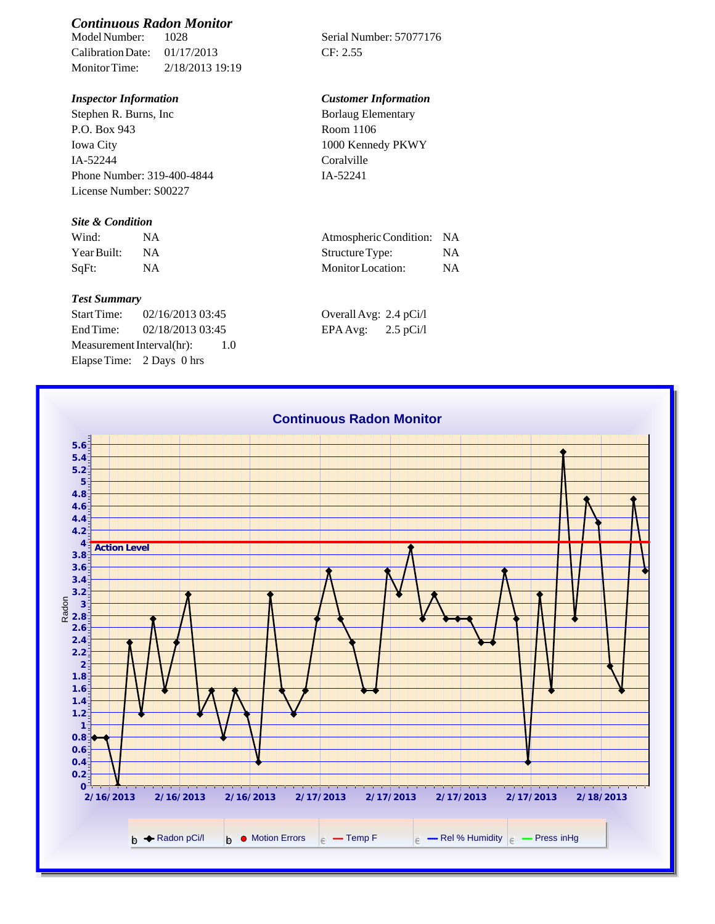# *Continuous Radon Monitor*

Calibration Date: 01/17/2013 CF: 2.55 Monitor Time: 2/18/2013 19:19

Stephen R. Burns, Inc P.O. Box 943 Iowa City IA-52244 Phone Number: 319-400-4844 License Number: S00227

### *Site & Condition*

| Wind:       |           | Atmospheric Condition: NA |           |
|-------------|-----------|---------------------------|-----------|
| Year Built: | <b>NA</b> | Structure Type:           | NΑ        |
| SaFt:       |           | Monitor Location:         | <b>NA</b> |

#### *Test Summary*

Start Time: 02/16/2013 03:45 End Time:  $02/18/2013$  03:45 Measurement Interval(hr): 1.0 Elapse Time: 2 Days 0 hrs

Serial Number: 57077176

### *Inspector Information Customer Information*

| <b>Borlaug Elementary</b> |  |
|---------------------------|--|
| Room 1106                 |  |
| 1000 Kennedy PKWY         |  |
| Coralville                |  |
| IA-52241                  |  |

| Atmospheric Condition: | -NA |
|------------------------|-----|
| Structure Type:        | NA  |
| Monitor Location:      | NA  |

| Overall Avg: 2.4 pCi/l |             |
|------------------------|-------------|
| EPA Avg:               | $2.5$ pCi/l |

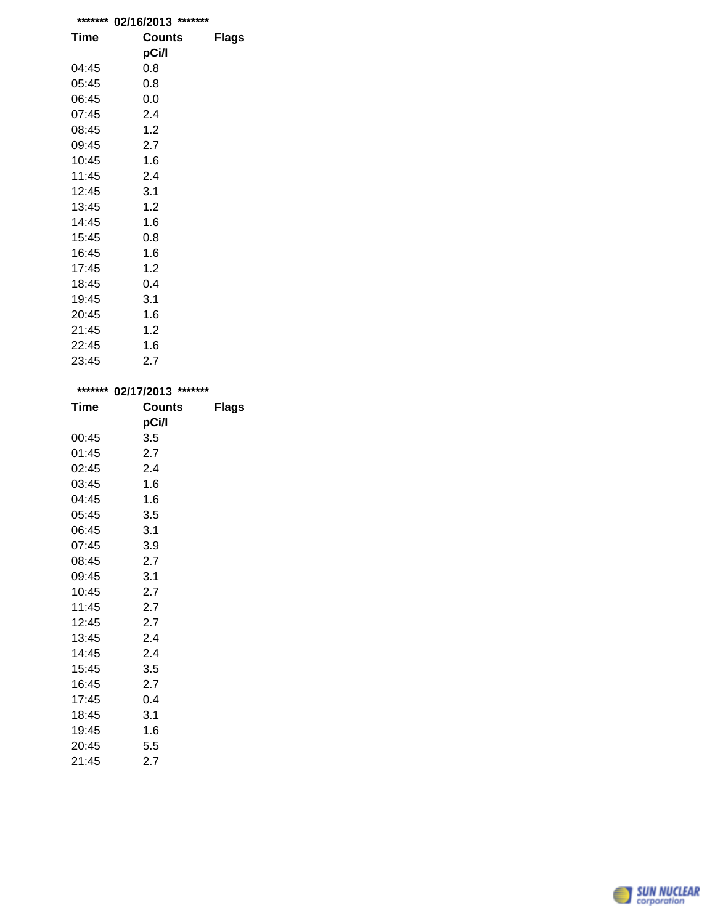| ******* | *******<br>02/16/2013 |              |
|---------|-----------------------|--------------|
| Time    | <b>Counts</b>         | <b>Flags</b> |
|         | pCi/l                 |              |
| 04:45   | 0.8                   |              |
| 05:45   | 0.8                   |              |
| 06:45   | 0.0                   |              |
| 07:45   | 2.4                   |              |
| 08:45   | 1.2                   |              |
| 09:45   | 2.7                   |              |
| 10:45   | 1.6                   |              |
| 11:45   | 2.4                   |              |
| 12:45   | 3.1                   |              |
| 13:45   | 1.2                   |              |
| 14:45   | 1.6                   |              |
| 15:45   | 0.8                   |              |
| 16:45   | 1.6                   |              |
| 17:45   | 1.2                   |              |
| 18:45   | 0.4                   |              |
| 19:45   | 3.1                   |              |
| 20:45   | 1.6                   |              |
| 21:45   | 1.2                   |              |
| 22:45   | 1.6                   |              |
| 23:45   | 2.7                   |              |

| ******* | 02/17/2013 | *******      |  |
|---------|------------|--------------|--|
| Time    | Counts     | <b>Flags</b> |  |
|         | pCi/l      |              |  |
| 00:45   | 3.5        |              |  |
| 01:45   | 2.7        |              |  |
| 02:45   | 2.4        |              |  |
| 03:45   | 1.6        |              |  |
| 04:45   | 1.6        |              |  |
| 05:45   | 3.5        |              |  |
| 06:45   | 3.1        |              |  |
| 07:45   | 3.9        |              |  |
| 08:45   | 2.7        |              |  |
| 09:45   | 3.1        |              |  |
| 10:45   | 2.7        |              |  |
| 11:45   | 2.7        |              |  |
| 12:45   | 2.7        |              |  |
| 13:45   | 2.4        |              |  |
| 14:45   | 2.4        |              |  |
| 15:45   | 3.5        |              |  |
| 16:45   | 2.7        |              |  |
| 17:45   | 0.4        |              |  |
| 18:45   | 3.1        |              |  |
| 19:45   | 1.6        |              |  |
| 20:45   | 5.5        |              |  |

21:45 2.7

SUN NUCLEAR

e